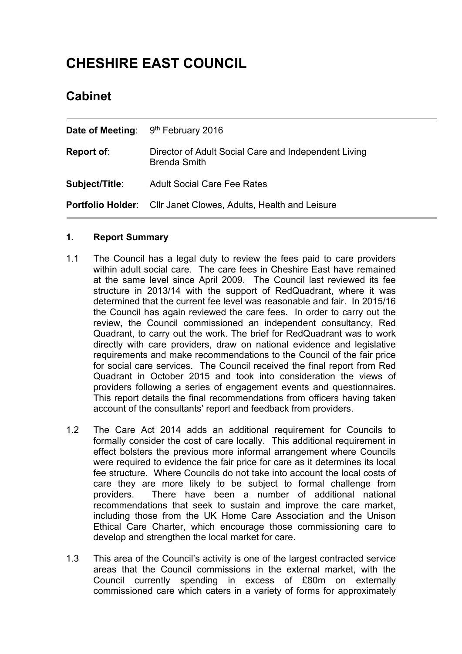# **CHESHIRE EAST COUNCIL**

# **Cabinet**

|                | <b>Date of Meeting:</b> $9th$ February 2016                                 |  |
|----------------|-----------------------------------------------------------------------------|--|
| Report of:     | Director of Adult Social Care and Independent Living<br><b>Brenda Smith</b> |  |
| Subject/Title: | <b>Adult Social Care Fee Rates</b>                                          |  |
|                | <b>Portfolio Holder:</b> Cllr Janet Clowes, Adults, Health and Leisure      |  |

# **1. Report Summary**

- 1.1 The Council has a legal duty to review the fees paid to care providers within adult social care. The care fees in Cheshire East have remained at the same level since April 2009. The Council last reviewed its fee structure in 2013/14 with the support of RedQuadrant, where it was determined that the current fee level was reasonable and fair. In 2015/16 the Council has again reviewed the care fees. In order to carry out the review, the Council commissioned an independent consultancy, Red Quadrant, to carry out the work. The brief for RedQuadrant was to work directly with care providers, draw on national evidence and legislative requirements and make recommendations to the Council of the fair price for social care services. The Council received the final report from Red Quadrant in October 2015 and took into consideration the views of providers following a series of engagement events and questionnaires. This report details the final recommendations from officers having taken account of the consultants' report and feedback from providers.
- 1.2 The Care Act 2014 adds an additional requirement for Councils to formally consider the cost of care locally. This additional requirement in effect bolsters the previous more informal arrangement where Councils were required to evidence the fair price for care as it determines its local fee structure. Where Councils do not take into account the local costs of care they are more likely to be subject to formal challenge from providers. There have been a number of additional national recommendations that seek to sustain and improve the care market, including those from the UK Home Care Association and the Unison Ethical Care Charter, which encourage those commissioning care to develop and strengthen the local market for care.
- 1.3 This area of the Council's activity is one of the largest contracted service areas that the Council commissions in the external market, with the Council currently spending in excess of £80m on externally commissioned care which caters in a variety of forms for approximately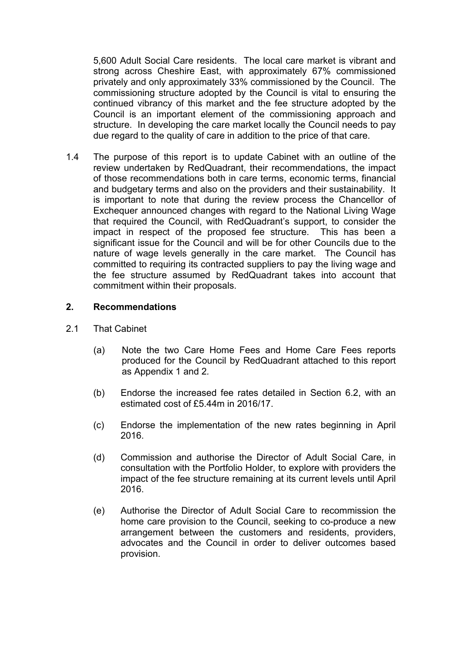5,600 Adult Social Care residents. The local care market is vibrant and strong across Cheshire East, with approximately 67% commissioned privately and only approximately 33% commissioned by the Council. The commissioning structure adopted by the Council is vital to ensuring the continued vibrancy of this market and the fee structure adopted by the Council is an important element of the commissioning approach and structure. In developing the care market locally the Council needs to pay due regard to the quality of care in addition to the price of that care.

1.4 The purpose of this report is to update Cabinet with an outline of the review undertaken by RedQuadrant, their recommendations, the impact of those recommendations both in care terms, economic terms, financial and budgetary terms and also on the providers and their sustainability. It is important to note that during the review process the Chancellor of Exchequer announced changes with regard to the National Living Wage that required the Council, with RedQuadrant's support, to consider the impact in respect of the proposed fee structure. This has been a significant issue for the Council and will be for other Councils due to the nature of wage levels generally in the care market. The Council has committed to requiring its contracted suppliers to pay the living wage and the fee structure assumed by RedQuadrant takes into account that commitment within their proposals.

#### **2. Recommendations**

- 2.1 That Cabinet
	- (a) Note the two Care Home Fees and Home Care Fees reports produced for the Council by RedQuadrant attached to this report as Appendix 1 and 2*.*
	- (b) Endorse the increased fee rates detailed in Section 6.2, with an estimated cost of £5.44m in 2016/17.
	- (c) Endorse the implementation of the new rates beginning in April 2016.
	- (d) Commission and authorise the Director of Adult Social Care, in consultation with the Portfolio Holder, to explore with providers the impact of the fee structure remaining at its current levels until April 2016.
	- (e) Authorise the Director of Adult Social Care to recommission the home care provision to the Council, seeking to co-produce a new arrangement between the customers and residents, providers, advocates and the Council in order to deliver outcomes based provision.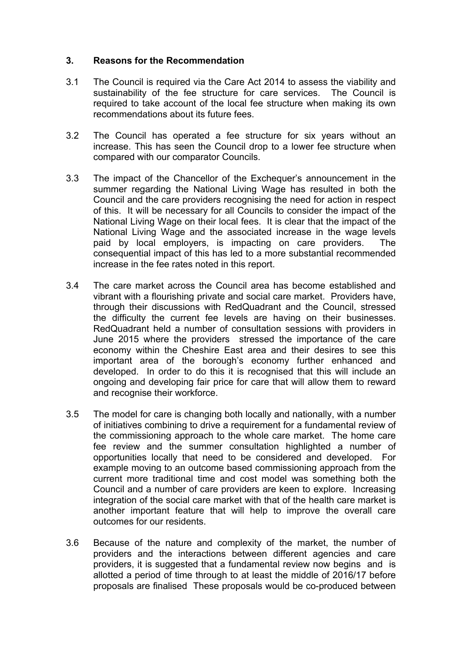#### **3. Reasons for the Recommendation**

- 3.1 The Council is required via the Care Act 2014 to assess the viability and sustainability of the fee structure for care services. The Council is required to take account of the local fee structure when making its own recommendations about its future fees.
- 3.2 The Council has operated a fee structure for six years without an increase. This has seen the Council drop to a lower fee structure when compared with our comparator Councils.
- 3.3 The impact of the Chancellor of the Exchequer's announcement in the summer regarding the National Living Wage has resulted in both the Council and the care providers recognising the need for action in respect of this. It will be necessary for all Councils to consider the impact of the National Living Wage on their local fees. It is clear that the impact of the National Living Wage and the associated increase in the wage levels paid by local employers, is impacting on care providers. The consequential impact of this has led to a more substantial recommended increase in the fee rates noted in this report.
- 3.4 The care market across the Council area has become established and vibrant with a flourishing private and social care market. Providers have, through their discussions with RedQuadrant and the Council, stressed the difficulty the current fee levels are having on their businesses. RedQuadrant held a number of consultation sessions with providers in June 2015 where the providers stressed the importance of the care economy within the Cheshire East area and their desires to see this important area of the borough's economy further enhanced and developed. In order to do this it is recognised that this will include an ongoing and developing fair price for care that will allow them to reward and recognise their workforce.
- 3.5 The model for care is changing both locally and nationally, with a number of initiatives combining to drive a requirement for a fundamental review of the commissioning approach to the whole care market. The home care fee review and the summer consultation highlighted a number of opportunities locally that need to be considered and developed. For example moving to an outcome based commissioning approach from the current more traditional time and cost model was something both the Council and a number of care providers are keen to explore. Increasing integration of the social care market with that of the health care market is another important feature that will help to improve the overall care outcomes for our residents.
- 3.6 Because of the nature and complexity of the market, the number of providers and the interactions between different agencies and care providers, it is suggested that a fundamental review now begins and is allotted a period of time through to at least the middle of 2016/17 before proposals are finalised These proposals would be co-produced between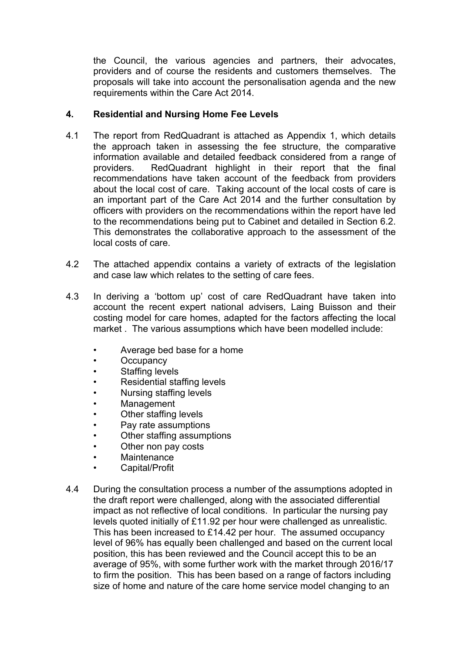the Council, the various agencies and partners, their advocates, providers and of course the residents and customers themselves. The proposals will take into account the personalisation agenda and the new requirements within the Care Act 2014.

### **4. Residential and Nursing Home Fee Levels**

- 4.1 The report from RedQuadrant is attached as Appendix 1, which details the approach taken in assessing the fee structure, the comparative information available and detailed feedback considered from a range of providers. RedQuadrant highlight in their report that the final recommendations have taken account of the feedback from providers about the local cost of care. Taking account of the local costs of care is an important part of the Care Act 2014 and the further consultation by officers with providers on the recommendations within the report have led to the recommendations being put to Cabinet and detailed in Section 6.2. This demonstrates the collaborative approach to the assessment of the local costs of care.
- 4.2 The attached appendix contains a variety of extracts of the legislation and case law which relates to the setting of care fees.
- 4.3 In deriving a 'bottom up' cost of care RedQuadrant have taken into account the recent expert national advisers, Laing Buisson and their costing model for care homes, adapted for the factors affecting the local market . The various assumptions which have been modelled include:
	- Average bed base for a home
	- **Occupancy**
	- Staffing levels
	- Residential staffing levels
	- Nursing staffing levels
	- **Management**
	- Other staffing levels
	- Pay rate assumptions
	- Other staffing assumptions
	- Other non pay costs
	- Maintenance
	- Capital/Profit
- 4.4 During the consultation process a number of the assumptions adopted in the draft report were challenged, along with the associated differential impact as not reflective of local conditions. In particular the nursing pay levels quoted initially of £11.92 per hour were challenged as unrealistic. This has been increased to £14.42 per hour. The assumed occupancy level of 96% has equally been challenged and based on the current local position, this has been reviewed and the Council accept this to be an average of 95%, with some further work with the market through 2016/17 to firm the position. This has been based on a range of factors including size of home and nature of the care home service model changing to an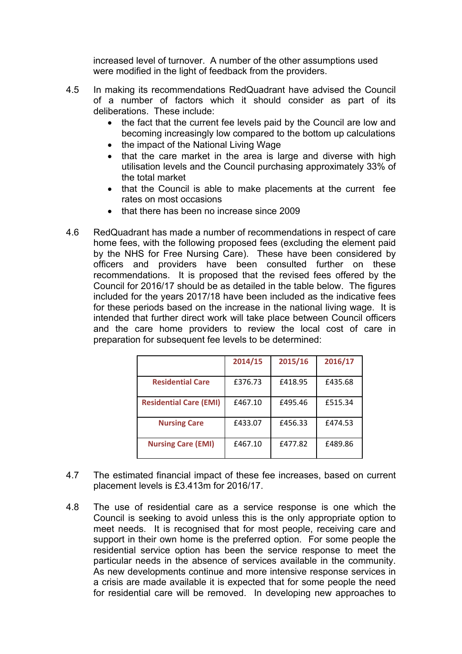increased level of turnover. A number of the other assumptions used were modified in the light of feedback from the providers.

- 4.5 In making its recommendations RedQuadrant have advised the Council of a number of factors which it should consider as part of its deliberations. These include:
	- the fact that the current fee levels paid by the Council are low and becoming increasingly low compared to the bottom up calculations
	- the impact of the National Living Wage
	- that the care market in the area is large and diverse with high utilisation levels and the Council purchasing approximately 33% of the total market
	- that the Council is able to make placements at the current fee rates on most occasions
	- that there has been no increase since 2009
- 4.6 RedQuadrant has made a number of recommendations in respect of care home fees, with the following proposed fees (excluding the element paid by the NHS for Free Nursing Care). These have been considered by officers and providers have been consulted further on these recommendations. It is proposed that the revised fees offered by the Council for 2016/17 should be as detailed in the table below. The figures included for the years 2017/18 have been included as the indicative fees for these periods based on the increase in the national living wage. It is intended that further direct work will take place between Council officers and the care home providers to review the local cost of care in preparation for subsequent fee levels to be determined:

|                               | 2014/15 | 2015/16 | 2016/17 |
|-------------------------------|---------|---------|---------|
| <b>Residential Care</b>       | £376.73 | £418.95 | £435.68 |
| <b>Residential Care (EMI)</b> | £467.10 | £495.46 | £515.34 |
| <b>Nursing Care</b>           | £433.07 | £456.33 | £474.53 |
| <b>Nursing Care (EMI)</b>     | £467.10 | £477.82 | £489.86 |

- 4.7 The estimated financial impact of these fee increases, based on current placement levels is £3.413m for 2016/17.
- 4.8 The use of residential care as a service response is one which the Council is seeking to avoid unless this is the only appropriate option to meet needs. It is recognised that for most people, receiving care and support in their own home is the preferred option. For some people the residential service option has been the service response to meet the particular needs in the absence of services available in the community. As new developments continue and more intensive response services in a crisis are made available it is expected that for some people the need for residential care will be removed. In developing new approaches to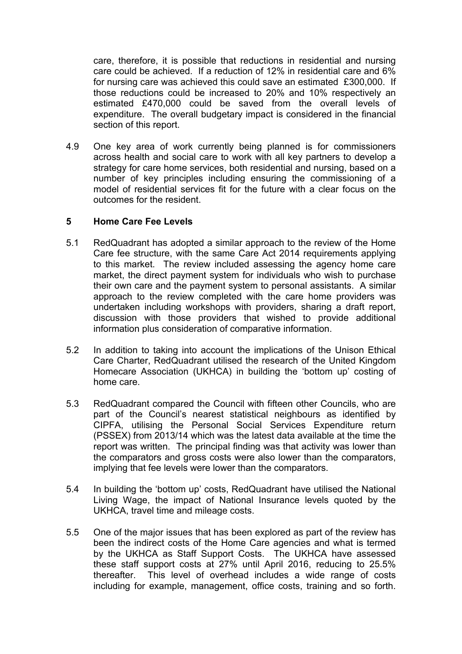care, therefore, it is possible that reductions in residential and nursing care could be achieved. If a reduction of 12% in residential care and 6% for nursing care was achieved this could save an estimated £300,000. If those reductions could be increased to 20% and 10% respectively an estimated £470,000 could be saved from the overall levels of expenditure. The overall budgetary impact is considered in the financial section of this report.

4.9 One key area of work currently being planned is for commissioners across health and social care to work with all key partners to develop a strategy for care home services, both residential and nursing, based on a number of key principles including ensuring the commissioning of a model of residential services fit for the future with a clear focus on the outcomes for the resident.

#### **5 Home Care Fee Levels**

- 5.1 RedQuadrant has adopted a similar approach to the review of the Home Care fee structure, with the same Care Act 2014 requirements applying to this market. The review included assessing the agency home care market, the direct payment system for individuals who wish to purchase their own care and the payment system to personal assistants. A similar approach to the review completed with the care home providers was undertaken including workshops with providers, sharing a draft report, discussion with those providers that wished to provide additional information plus consideration of comparative information.
- 5.2 In addition to taking into account the implications of the Unison Ethical Care Charter, RedQuadrant utilised the research of the United Kingdom Homecare Association (UKHCA) in building the 'bottom up' costing of home care.
- 5.3 RedQuadrant compared the Council with fifteen other Councils, who are part of the Council's nearest statistical neighbours as identified by CIPFA, utilising the Personal Social Services Expenditure return (PSSEX) from 2013/14 which was the latest data available at the time the report was written. The principal finding was that activity was lower than the comparators and gross costs were also lower than the comparators, implying that fee levels were lower than the comparators.
- 5.4 In building the 'bottom up' costs, RedQuadrant have utilised the National Living Wage, the impact of National Insurance levels quoted by the UKHCA, travel time and mileage costs.
- 5.5 One of the major issues that has been explored as part of the review has been the indirect costs of the Home Care agencies and what is termed by the UKHCA as Staff Support Costs. The UKHCA have assessed these staff support costs at 27% until April 2016, reducing to 25.5% thereafter. This level of overhead includes a wide range of costs including for example, management, office costs, training and so forth.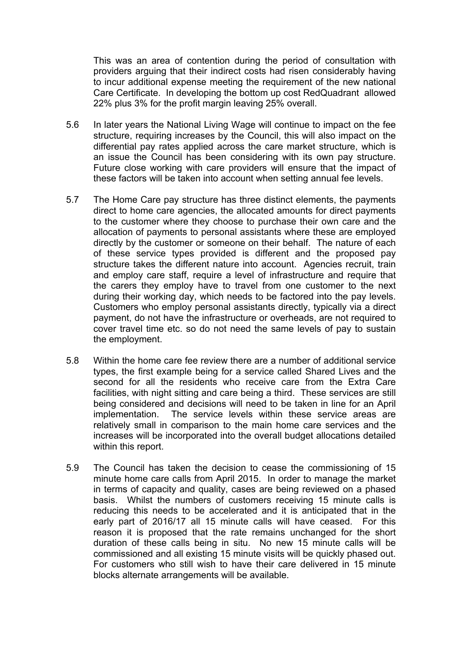This was an area of contention during the period of consultation with providers arguing that their indirect costs had risen considerably having to incur additional expense meeting the requirement of the new national Care Certificate. In developing the bottom up cost RedQuadrant allowed 22% plus 3% for the profit margin leaving 25% overall.

- 5.6 In later years the National Living Wage will continue to impact on the fee structure, requiring increases by the Council, this will also impact on the differential pay rates applied across the care market structure, which is an issue the Council has been considering with its own pay structure. Future close working with care providers will ensure that the impact of these factors will be taken into account when setting annual fee levels.
- 5.7 The Home Care pay structure has three distinct elements, the payments direct to home care agencies, the allocated amounts for direct payments to the customer where they choose to purchase their own care and the allocation of payments to personal assistants where these are employed directly by the customer or someone on their behalf. The nature of each of these service types provided is different and the proposed pay structure takes the different nature into account. Agencies recruit, train and employ care staff, require a level of infrastructure and require that the carers they employ have to travel from one customer to the next during their working day, which needs to be factored into the pay levels. Customers who employ personal assistants directly, typically via a direct payment, do not have the infrastructure or overheads, are not required to cover travel time etc. so do not need the same levels of pay to sustain the employment.
- 5.8 Within the home care fee review there are a number of additional service types, the first example being for a service called Shared Lives and the second for all the residents who receive care from the Extra Care facilities, with night sitting and care being a third. These services are still being considered and decisions will need to be taken in line for an April implementation. The service levels within these service areas are relatively small in comparison to the main home care services and the increases will be incorporated into the overall budget allocations detailed within this report.
- 5.9 The Council has taken the decision to cease the commissioning of 15 minute home care calls from April 2015. In order to manage the market in terms of capacity and quality, cases are being reviewed on a phased basis. Whilst the numbers of customers receiving 15 minute calls is reducing this needs to be accelerated and it is anticipated that in the early part of 2016/17 all 15 minute calls will have ceased. For this reason it is proposed that the rate remains unchanged for the short duration of these calls being in situ. No new 15 minute calls will be commissioned and all existing 15 minute visits will be quickly phased out. For customers who still wish to have their care delivered in 15 minute blocks alternate arrangements will be available.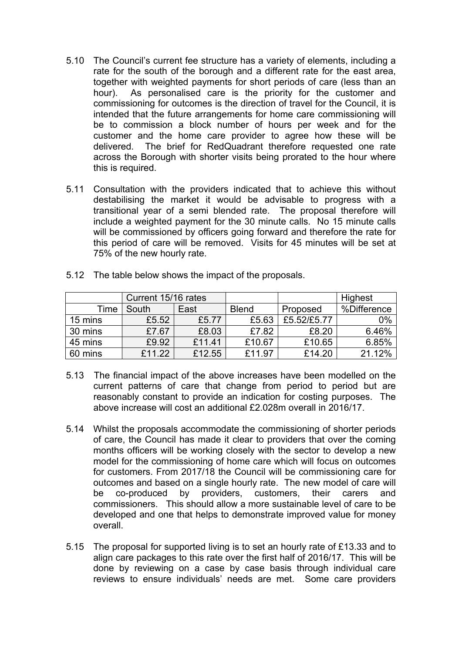- 5.10 The Council's current fee structure has a variety of elements, including a rate for the south of the borough and a different rate for the east area, together with weighted payments for short periods of care (less than an hour). As personalised care is the priority for the customer and commissioning for outcomes is the direction of travel for the Council, it is intended that the future arrangements for home care commissioning will be to commission a block number of hours per week and for the customer and the home care provider to agree how these will be delivered. The brief for RedQuadrant therefore requested one rate across the Borough with shorter visits being prorated to the hour where this is required.
- 5.11 Consultation with the providers indicated that to achieve this without destabilising the market it would be advisable to progress with a transitional year of a semi blended rate. The proposal therefore will include a weighted payment for the 30 minute calls. No 15 minute calls will be commissioned by officers going forward and therefore the rate for this period of care will be removed. Visits for 45 minutes will be set at 75% of the new hourly rate.

|         | Current 15/16 rates |        |              |             | Highest     |
|---------|---------------------|--------|--------------|-------------|-------------|
| Time    | South               | East   | <b>Blend</b> | Proposed    | %Difference |
| 15 mins | £5.52               | £5.77  | £5.63        | £5.52/£5.77 | 0%          |
| 30 mins | £7.67               | £8.03  | £7.82        | £8.20       | 6.46%       |
| 45 mins | £9.92               | £11.41 | £10.67       | £10.65      | 6.85%       |
| 60 mins | £11.22              | £12.55 | £11.97       | £14.20      | 21.12%      |

5.12 The table below shows the impact of the proposals.

- 5.13 The financial impact of the above increases have been modelled on the current patterns of care that change from period to period but are reasonably constant to provide an indication for costing purposes. The above increase will cost an additional £2.028m overall in 2016/17.
- 5.14 Whilst the proposals accommodate the commissioning of shorter periods of care, the Council has made it clear to providers that over the coming months officers will be working closely with the sector to develop a new model for the commissioning of home care which will focus on outcomes for customers. From 2017/18 the Council will be commissioning care for outcomes and based on a single hourly rate. The new model of care will be co-produced by providers, customers, their carers and commissioners. This should allow a more sustainable level of care to be developed and one that helps to demonstrate improved value for money overall.
- 5.15 The proposal for supported living is to set an hourly rate of £13.33 and to align care packages to this rate over the first half of 2016/17. This will be done by reviewing on a case by case basis through individual care reviews to ensure individuals' needs are met. Some care providers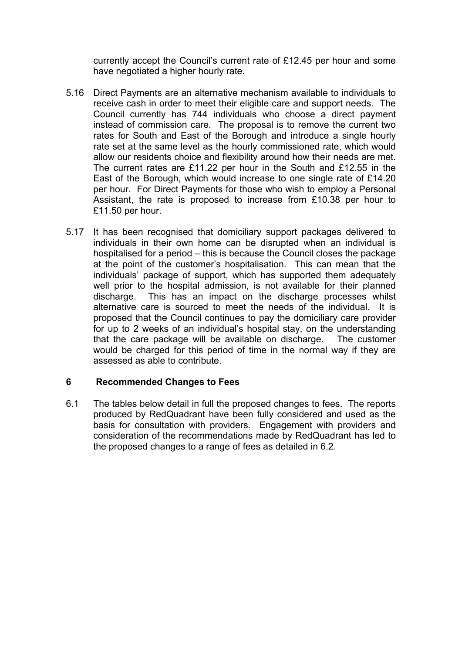currently accept the Council's current rate of £12.45 per hour and some have negotiated a higher hourly rate.

- 5.16 Direct Payments are an alternative mechanism available to individuals to receive cash in order to meet their eligible care and support needs. The Council currently has 744 individuals who choose a direct payment instead of commission care. The proposal is to remove the current two rates for South and East of the Borough and introduce a single hourly rate set at the same level as the hourly commissioned rate, which would allow our residents choice and flexibility around how their needs are met. The current rates are £11.22 per hour in the South and £12.55 in the East of the Borough, which would increase to one single rate of £14.20 per hour. For Direct Payments for those who wish to employ a Personal Assistant, the rate is proposed to increase from £10.38 per hour to £11.50 per hour.
- 5.17 It has been recognised that domiciliary support packages delivered to individuals in their own home can be disrupted when an individual is hospitalised for a period – this is because the Council closes the package at the point of the customer's hospitalisation. This can mean that the individuals' package of support, which has supported them adequately well prior to the hospital admission, is not available for their planned discharge. This has an impact on the discharge processes whilst alternative care is sourced to meet the needs of the individual. It is proposed that the Council continues to pay the domiciliary care provider for up to 2 weeks of an individual's hospital stay, on the understanding that the care package will be available on discharge. The customer would be charged for this period of time in the normal way if they are assessed as able to contribute.

#### **6 Recommended Changes to Fees**

6.1 The tables below detail in full the proposed changes to fees. The reports produced by RedQuadrant have been fully considered and used as the basis for consultation with providers. Engagement with providers and consideration of the recommendations made by RedQuadrant has led to the proposed changes to a range of fees as detailed in 6.2.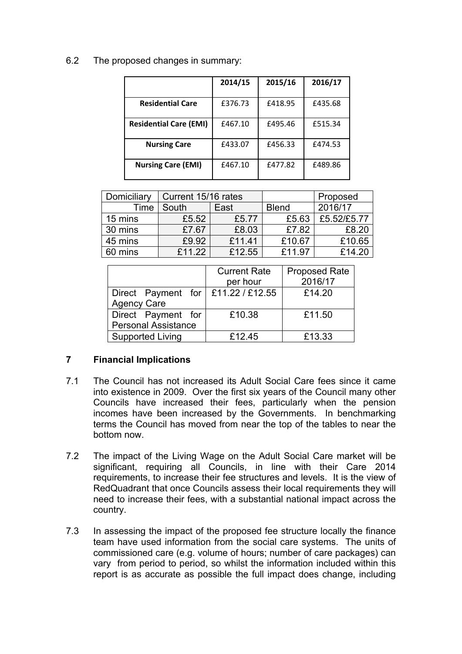6.2 The proposed changes in summary:

|                               | 2014/15 | 2015/16 | 2016/17 |
|-------------------------------|---------|---------|---------|
| <b>Residential Care</b>       | £376.73 | £418.95 | £435.68 |
| <b>Residential Care (EMI)</b> | £467.10 | £495.46 | £515.34 |
| <b>Nursing Care</b>           | £433.07 | £456.33 | £474.53 |
| <b>Nursing Care (EMI)</b>     | £467.10 | £477.82 | £489.86 |

| Domiciliary | Current 15/16 rates |        |              | Proposed    |
|-------------|---------------------|--------|--------------|-------------|
| Time        | South               | East   | <b>Blend</b> | 2016/17     |
| 15 mins     | £5.52               | £5.77  | £5.63        | £5.52/£5.77 |
| 30 mins     | £7.67               | £8.03  | £7.82        | £8.20       |
| 45 mins     | £9.92               | £11.41 | £10.67       | £10.65      |
| 60 mins     | f1122               | £12.55 | £11.97       | £14.20      |

|                                      | <b>Current Rate</b> | <b>Proposed Rate</b> |
|--------------------------------------|---------------------|----------------------|
|                                      | per hour            | 2016/17              |
| Direct Payment for   £11.22 / £12.55 |                     | £14.20               |
| <b>Agency Care</b>                   |                     |                      |
| Direct Payment for                   | £10.38              | £11.50               |
| <b>Personal Assistance</b>           |                     |                      |
| <b>Supported Living</b>              | £12.45              | £13.33               |

# **7 Financial Implications**

- 7.1 The Council has not increased its Adult Social Care fees since it came into existence in 2009. Over the first six years of the Council many other Councils have increased their fees, particularly when the pension incomes have been increased by the Governments. In benchmarking terms the Council has moved from near the top of the tables to near the bottom now.
- 7.2 The impact of the Living Wage on the Adult Social Care market will be significant, requiring all Councils, in line with their Care 2014 requirements, to increase their fee structures and levels. It is the view of RedQuadrant that once Councils assess their local requirements they will need to increase their fees, with a substantial national impact across the country.
- 7.3 In assessing the impact of the proposed fee structure locally the finance team have used information from the social care systems. The units of commissioned care (e.g. volume of hours; number of care packages) can vary from period to period, so whilst the information included within this report is as accurate as possible the full impact does change, including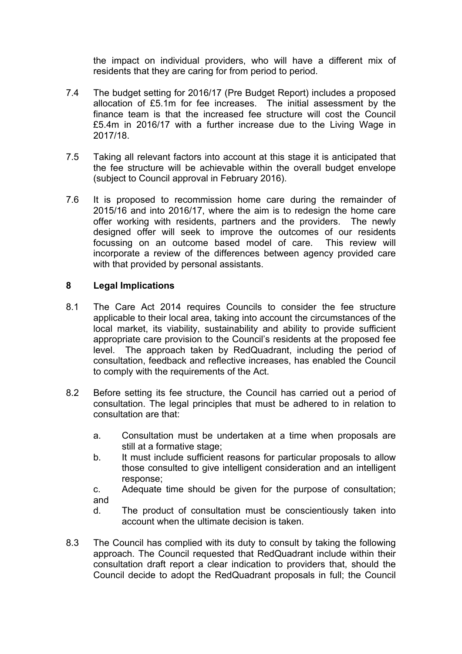the impact on individual providers, who will have a different mix of residents that they are caring for from period to period.

- 7.4 The budget setting for 2016/17 (Pre Budget Report) includes a proposed allocation of £5.1m for fee increases. The initial assessment by the finance team is that the increased fee structure will cost the Council £5.4m in 2016/17 with a further increase due to the Living Wage in 2017/18.
- 7.5 Taking all relevant factors into account at this stage it is anticipated that the fee structure will be achievable within the overall budget envelope (subject to Council approval in February 2016).
- 7.6 It is proposed to recommission home care during the remainder of 2015/16 and into 2016/17, where the aim is to redesign the home care offer working with residents, partners and the providers. The newly designed offer will seek to improve the outcomes of our residents focussing on an outcome based model of care. This review will incorporate a review of the differences between agency provided care with that provided by personal assistants.

#### **8 Legal Implications**

- 8.1 The Care Act 2014 requires Councils to consider the fee structure applicable to their local area, taking into account the circumstances of the local market, its viability, sustainability and ability to provide sufficient appropriate care provision to the Council's residents at the proposed fee level. The approach taken by RedQuadrant, including the period of consultation, feedback and reflective increases, has enabled the Council to comply with the requirements of the Act.
- 8.2 Before setting its fee structure, the Council has carried out a period of consultation. The legal principles that must be adhered to in relation to consultation are that:
	- a. Consultation must be undertaken at a time when proposals are still at a formative stage;
	- b. It must include sufficient reasons for particular proposals to allow those consulted to give intelligent consideration and an intelligent response;
	- c. Adequate time should be given for the purpose of consultation; and
	- d. The product of consultation must be conscientiously taken into account when the ultimate decision is taken.
- 8.3 The Council has complied with its duty to consult by taking the following approach. The Council requested that RedQuadrant include within their consultation draft report a clear indication to providers that, should the Council decide to adopt the RedQuadrant proposals in full; the Council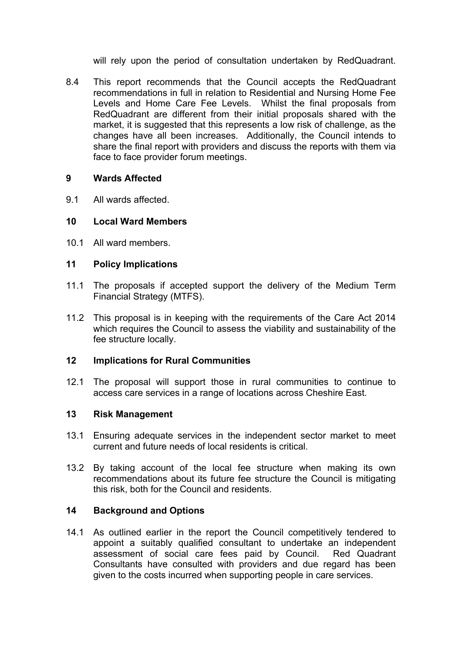will rely upon the period of consultation undertaken by RedQuadrant.

8.4 This report recommends that the Council accepts the RedQuadrant recommendations in full in relation to Residential and Nursing Home Fee Levels and Home Care Fee Levels. Whilst the final proposals from RedQuadrant are different from their initial proposals shared with the market, it is suggested that this represents a low risk of challenge, as the changes have all been increases. Additionally, the Council intends to share the final report with providers and discuss the reports with them via face to face provider forum meetings.

#### **9 Wards Affected**

9.1 All wards affected.

#### **10 Local Ward Members**

10.1 All ward members.

#### **11 Policy Implications**

- 11.1 The proposals if accepted support the delivery of the Medium Term Financial Strategy (MTFS).
- 11.2 This proposal is in keeping with the requirements of the Care Act 2014 which requires the Council to assess the viability and sustainability of the fee structure locally.

#### **12 Implications for Rural Communities**

12.1 The proposal will support those in rural communities to continue to access care services in a range of locations across Cheshire East.

#### **13 Risk Management**

- 13.1 Ensuring adequate services in the independent sector market to meet current and future needs of local residents is critical.
- 13.2 By taking account of the local fee structure when making its own recommendations about its future fee structure the Council is mitigating this risk, both for the Council and residents.

#### **14 Background and Options**

14.1 As outlined earlier in the report the Council competitively tendered to appoint a suitably qualified consultant to undertake an independent assessment of social care fees paid by Council. Red Quadrant Consultants have consulted with providers and due regard has been given to the costs incurred when supporting people in care services.